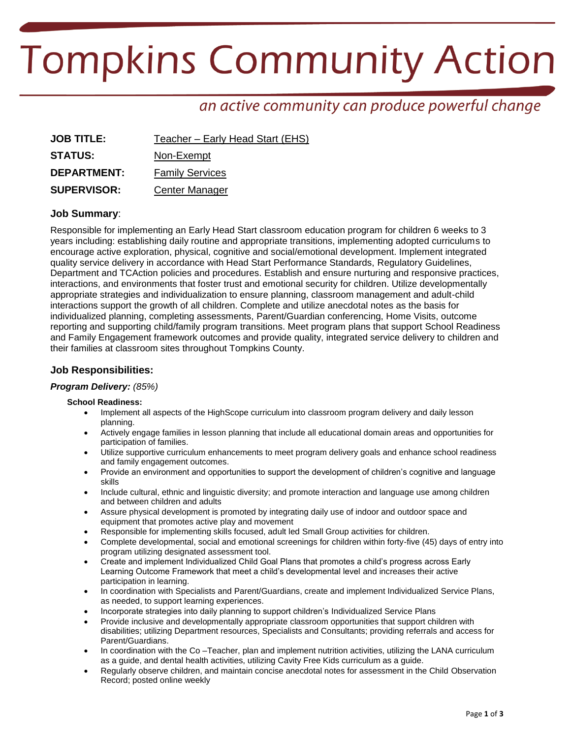# **Tompkins Community Action**

# an active community can produce powerful change

| <b>JOB TITLE:</b>  | Teacher – Early Head Start (EHS) |
|--------------------|----------------------------------|
| <b>STATUS:</b>     | Non-Exempt                       |
| <b>DEPARTMENT:</b> | <b>Family Services</b>           |
| <b>SUPERVISOR:</b> | Center Manager                   |

# **Job Summary**:

Responsible for implementing an Early Head Start classroom education program for children 6 weeks to 3 years including: establishing daily routine and appropriate transitions, implementing adopted curriculums to encourage active exploration, physical, cognitive and social/emotional development. Implement integrated quality service delivery in accordance with Head Start Performance Standards, Regulatory Guidelines, Department and TCAction policies and procedures. Establish and ensure nurturing and responsive practices, interactions, and environments that foster trust and emotional security for children. Utilize developmentally appropriate strategies and individualization to ensure planning, classroom management and adult-child interactions support the growth of all children. Complete and utilize anecdotal notes as the basis for individualized planning, completing assessments, Parent/Guardian conferencing, Home Visits, outcome reporting and supporting child/family program transitions. Meet program plans that support School Readiness and Family Engagement framework outcomes and provide quality, integrated service delivery to children and their families at classroom sites throughout Tompkins County.

# **Job Responsibilities:**

# *Program Delivery: (85%)*

# **School Readiness:**

- Implement all aspects of the HighScope curriculum into classroom program delivery and daily lesson planning.
- Actively engage families in lesson planning that include all educational domain areas and opportunities for participation of families.
- Utilize supportive curriculum enhancements to meet program delivery goals and enhance school readiness and family engagement outcomes.
- Provide an environment and opportunities to support the development of children's cognitive and language skills
- Include cultural, ethnic and linguistic diversity; and promote interaction and language use among children and between children and adults
- Assure physical development is promoted by integrating daily use of indoor and outdoor space and equipment that promotes active play and movement
- Responsible for implementing skills focused, adult led Small Group activities for children.
- Complete developmental, social and emotional screenings for children within forty-five (45) days of entry into program utilizing designated assessment tool.
- Create and implement Individualized Child Goal Plans that promotes a child's progress across Early Learning Outcome Framework that meet a child's developmental level and increases their active participation in learning.
- In coordination with Specialists and Parent/Guardians, create and implement Individualized Service Plans, as needed, to support learning experiences.
- Incorporate strategies into daily planning to support children's Individualized Service Plans
- Provide inclusive and developmentally appropriate classroom opportunities that support children with disabilities; utilizing Department resources, Specialists and Consultants; providing referrals and access for Parent/Guardians.
- In coordination with the Co –Teacher, plan and implement nutrition activities, utilizing the LANA curriculum as a guide, and dental health activities, utilizing Cavity Free Kids curriculum as a guide.
- Regularly observe children, and maintain concise anecdotal notes for assessment in the Child Observation Record; posted online weekly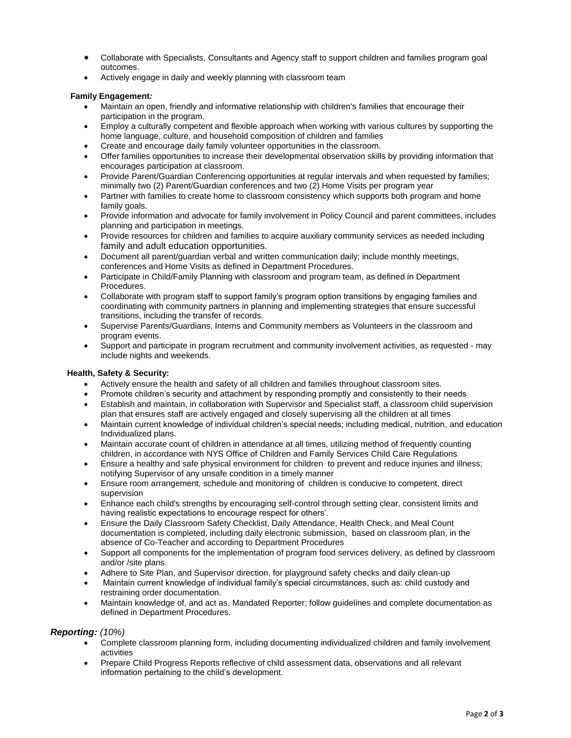- Collaborate with Specialists, Consultants and Agency staff to support children and families program goal outcomes.
- Actively engage in daily and weekly planning with classroom team

#### **Family Engagement***:*

- Maintain an open, friendly and informative relationship with children's families that encourage their participation in the program.
- Employ a culturally competent and flexible approach when working with various cultures by supporting the home language, culture, and household composition of children and families
- Create and encourage daily family volunteer opportunities in the classroom.
- Offer families opportunities to increase their developmental observation skills by providing information that encourages participation at classroom.
- Provide Parent/Guardian Conferencing opportunities at regular intervals and when requested by families; minimally two (2) Parent/Guardian conferences and two (2) Home Visits per program year
- Partner with families to create home to classroom consistency which supports both program and home family goals.
- Provide information and advocate for family involvement in Policy Council and parent committees, includes planning and participation in meetings.
- Provide resources for children and families to acquire auxiliary community services as needed including family and adult education opportunities.
- Document all parent/guardian verbal and written communication daily; include monthly meetings, conferences and Home Visits as defined in Department Procedures.
- Participate in Child/Family Planning with classroom and program team, as defined in Department Procedures.
- Collaborate with program staff to support family's program option transitions by engaging families and coordinating with community partners in planning and implementing strategies that ensure successful transitions, including the transfer of records.
- Supervise Parents/Guardians, Interns and Community members as Volunteers in the classroom and program events.
- Support and participate in program recruitment and community involvement activities, as requested may include nights and weekends.

#### **Health, Safety & Security:**

- Actively ensure the health and safety of all children and families throughout classroom sites.
- Promote children's security and attachment by responding promptly and consistently to their needs
- Establish and maintain, in collaboration with Supervisor and Specialist staff, a classroom child supervision plan that ensures staff are actively engaged and closely supervising all the children at all times
- Maintain current knowledge of individual children's special needs; including medical, nutrition, and education Individualized plans.
- Maintain accurate count of children in attendance at all times, utilizing method of frequently counting children, in accordance with NYS Office of Children and Family Services Child Care Regulations
- Ensure a healthy and safe physical environment for children to prevent and reduce injuries and illness; notifying Supervisor of any unsafe condition in a timely manner
- Ensure room arrangement, schedule and monitoring of children is conducive to competent, direct supervision
- Enhance each child's strengths by encouraging self-control through setting clear, consistent limits and having realistic expectations to encourage respect for others'.
- Ensure the Daily Classroom Safety Checklist, Daily Attendance, Health Check, and Meal Count documentation is completed, including daily electronic submission, based on classroom plan, in the absence of Co-Teacher and according to Department Procedures
- Support all components for the implementation of program food services delivery, as defined by classroom and/or /site plans.
- Adhere to Site Plan, and Supervisor direction, for playground safety checks and daily clean-up
- Maintain current knowledge of individual family's special circumstances, such as: child custody and restraining order documentation.
- Maintain knowledge of, and act as, Mandated Reporter; follow guidelines and complete documentation as defined in Department Procedures.

# *Reporting: (10%)*

- Complete classroom planning form, including documenting individualized children and family involvement activities
- Prepare Child Progress Reports reflective of child assessment data, observations and all relevant information pertaining to the child's development.